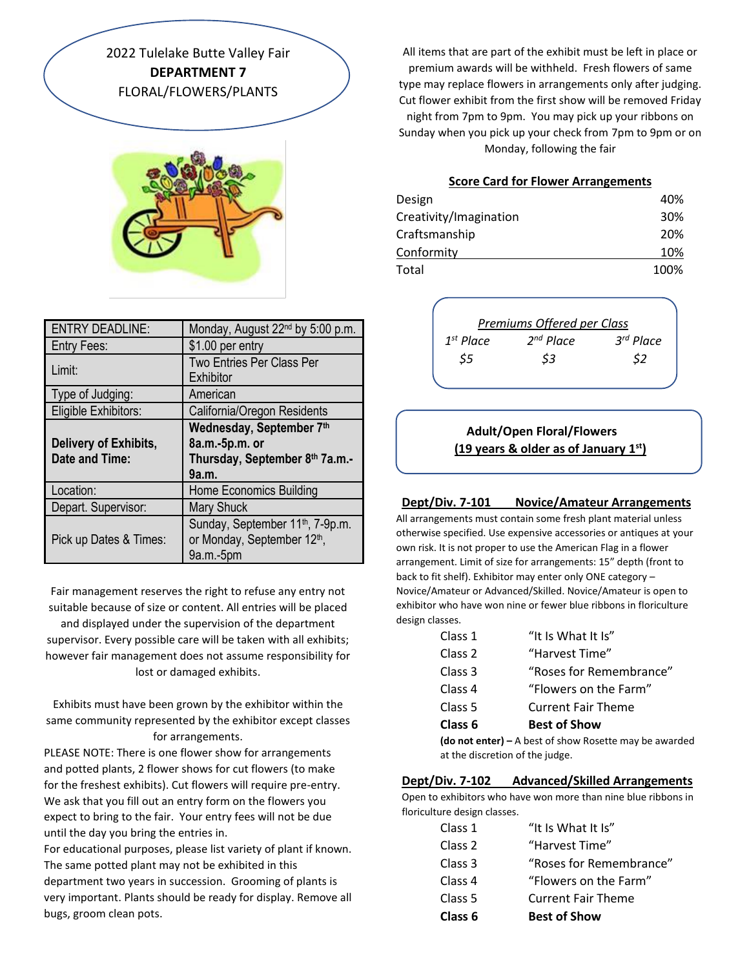2022 Tulelake Butte Valley Fair **DEPARTMENT 7** FLORAL/FLOWERS/PLANTS



| <b>ENTRY DEADLINE:</b> | Monday, August 22 <sup>nd</sup> by 5:00 p.m. |
|------------------------|----------------------------------------------|
| <b>Entry Fees:</b>     | \$1.00 per entry                             |
| Limit:                 | <b>Two Entries Per Class Per</b>             |
|                        | Exhibitor                                    |
| Type of Judging:       | American                                     |
| Eligible Exhibitors:   | California/Oregon Residents                  |
|                        | Wednesday, September 7th                     |
| Delivery of Exhibits,  | 8a.m.-5p.m. or                               |
| Date and Time:         | Thursday, September 8th 7a.m.-               |
|                        | 9a.m.                                        |
| Location:              | Home Economics Building                      |
| Depart. Supervisor:    | <b>Mary Shuck</b>                            |
|                        | Sunday, September 11 <sup>th</sup> , 7-9p.m. |
| Pick up Dates & Times: | or Monday, September 12th,                   |
|                        | $9a.m.-5pm$                                  |

Fair management reserves the right to refuse any entry not suitable because of size or content. All entries will be placed

and displayed under the supervision of the department supervisor. Every possible care will be taken with all exhibits; however fair management does not assume responsibility for lost or damaged exhibits.

Exhibits must have been grown by the exhibitor within the same community represented by the exhibitor except classes for arrangements.

PLEASE NOTE: There is one flower show for arrangements and potted plants, 2 flower shows for cut flowers (to make for the freshest exhibits). Cut flowers will require pre-entry. We ask that you fill out an entry form on the flowers you expect to bring to the fair. Your entry fees will not be due until the day you bring the entries in.

For educational purposes, please list variety of plant if known. The same potted plant may not be exhibited in this department two years in succession. Grooming of plants is very important. Plants should be ready for display. Remove all bugs, groom clean pots.

All items that are part of the exhibit must be left in place or premium awards will be withheld. Fresh flowers of same type may replace flowers in arrangements only after judging. Cut flower exhibit from the first show will be removed Friday night from 7pm to 9pm. You may pick up your ribbons on Sunday when you pick up your check from 7pm to 9pm or on Monday, following the fair

#### **Score Card for Flower Arrangements**

| Design                 | 40%  |
|------------------------|------|
| Creativity/Imagination | 30%  |
| Craftsmanship          | 20%  |
| Conformity             | 10%  |
| Total                  | 100% |

|                | Premiums Offered per Class |             |
|----------------|----------------------------|-------------|
| $1^{st}$ Place | $2^{nd}$ Place             | $3rd$ Place |
| S5             | \$3                        | \$2         |

# **Adult/Open Floral/Flowers (19 years & older as of January 1st)**

#### **Dept/Div. 7-101 Novice/Amateur Arrangements**

All arrangements must contain some fresh plant material unless otherwise specified. Use expensive accessories or antiques at your own risk. It is not proper to use the American Flag in a flower arrangement. Limit of size for arrangements: 15" depth (front to back to fit shelf). Exhibitor may enter only ONE category – Novice/Amateur or Advanced/Skilled. Novice/Amateur is open to exhibitor who have won nine or fewer blue ribbons in floriculture design classes.

|                                                          | Class 1            | "It Is What It Is"        |
|----------------------------------------------------------|--------------------|---------------------------|
|                                                          | Class 2            | "Harvest Time"            |
|                                                          | Class 3            | "Roses for Remembrance"   |
|                                                          | Class <sub>4</sub> | "Flowers on the Farm"     |
|                                                          | Class 5            | <b>Current Fair Theme</b> |
|                                                          | Class 6            | <b>Best of Show</b>       |
| (do not enter) $-$ A best of show Rosette may be awarded |                    |                           |
| at the discretion of the judge.                          |                    |                           |

#### **Dept/Div. 7-102 Advanced/Skilled Arrangements**

Open to exhibitors who have won more than nine blue ribbons in floriculture design classes.

| Class 6            | <b>Best of Show</b>       |
|--------------------|---------------------------|
| Class 5            | <b>Current Fair Theme</b> |
| Class <sub>4</sub> | "Flowers on the Farm"     |
| Class 3            | "Roses for Remembrance"   |
| Class <sub>2</sub> | "Harvest Time"            |
| Class 1            | "It Is What It Is"        |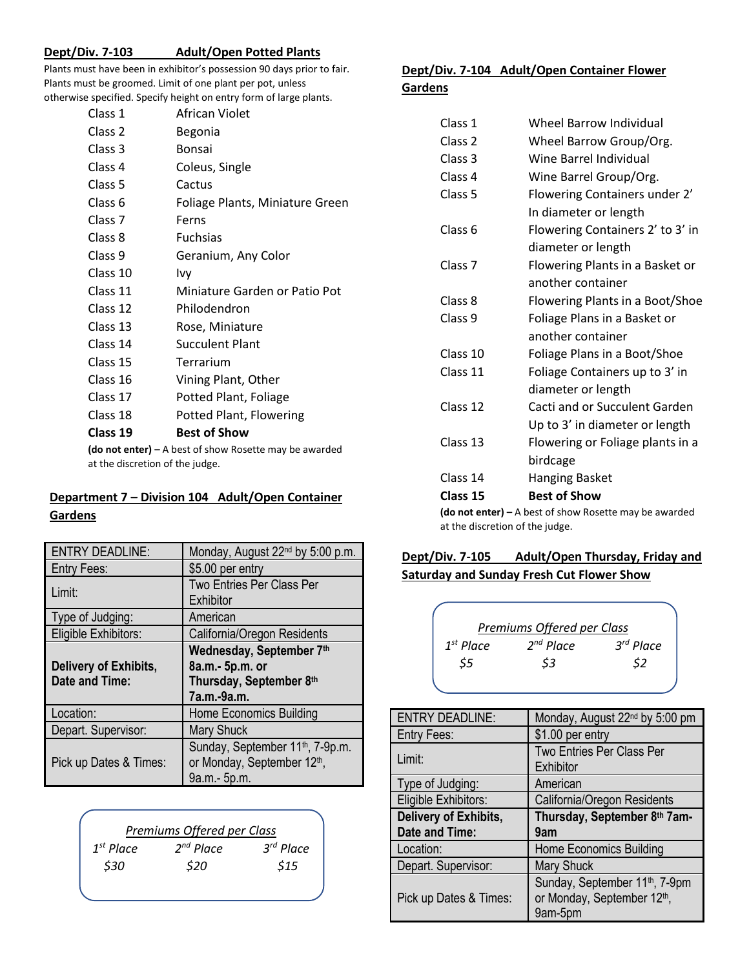#### **Dept/Div. 7-103 Adult/Open Potted Plants**

Plants must have been in exhibitor's possession 90 days prior to fair. Plants must be groomed. Limit of one plant per pot, unless otherwise specified. Specify height on entry form of large plants.

| Class 1                                                        | African Violet                  |  |
|----------------------------------------------------------------|---------------------------------|--|
| Class 2                                                        | Begonia                         |  |
| Class 3                                                        | Bonsai                          |  |
| Class 4                                                        | Coleus, Single                  |  |
| Class 5                                                        | Cactus                          |  |
| Class 6                                                        | Foliage Plants, Miniature Green |  |
| Class 7                                                        | Ferns                           |  |
| Class 8                                                        | <b>Fuchsias</b>                 |  |
| Class 9                                                        | Geranium, Any Color             |  |
| Class 10                                                       | Ivy                             |  |
| Class 11                                                       | Miniature Garden or Patio Pot   |  |
| Class 12                                                       | Philodendron                    |  |
| Class 13                                                       | Rose, Miniature                 |  |
| Class 14                                                       | <b>Succulent Plant</b>          |  |
| Class 15                                                       | Terrarium                       |  |
| Class 16                                                       | Vining Plant, Other             |  |
| Class 17                                                       | Potted Plant, Foliage           |  |
| Class 18                                                       | Potted Plant, Flowering         |  |
| Class 19                                                       | <b>Best of Show</b>             |  |
| $(d\rho$ not enter $l - A$ hest of show Rosette may be awarded |                                 |  |

**(do not enter) –** A best of show Rosette may be awarded at the discretion of the judge.

# **Department 7 – Division 104 Adult/Open Container Gardens**

| <b>ENTRY DEADLINE:</b>       | Monday, August 22 <sup>nd</sup> by 5:00 p.m. |
|------------------------------|----------------------------------------------|
| <b>Entry Fees:</b>           | \$5.00 per entry                             |
|                              | <b>Two Entries Per Class Per</b>             |
| Limit:                       | Exhibitor                                    |
| Type of Judging:             | American                                     |
| Eligible Exhibitors:         | California/Oregon Residents                  |
|                              | Wednesday, September 7th                     |
| <b>Delivery of Exhibits,</b> | 8a.m.- 5p.m. or                              |
| Date and Time:               | Thursday, September 8th                      |
|                              | 7a.m.-9a.m.                                  |
| Location:                    | Home Economics Building                      |
| Depart. Supervisor:          | <b>Mary Shuck</b>                            |
|                              | Sunday, September 11 <sup>th</sup> , 7-9p.m. |
| Pick up Dates & Times:       | or Monday, September 12 <sup>th</sup> ,      |
|                              | 9a.m.- 5p.m.                                 |

| $2^{nd}$ Place | $3rd$ Place                |
|----------------|----------------------------|
| \$20           | \$15                       |
|                | Premiums Offered per Class |

# **Dept/Div. 7-104 Adult/Open Container Flower**

| Gardens |  |
|---------|--|
|         |  |

| Class 15           | <b>Best of Show</b>               |
|--------------------|-----------------------------------|
| Class 14           | birdcage<br><b>Hanging Basket</b> |
| Class 13           | Flowering or Foliage plants in a  |
|                    | Up to 3' in diameter or length    |
| Class 12           | Cacti and or Succulent Garden     |
|                    | diameter or length                |
| Class 11           | Foliage Containers up to 3' in    |
| Class 10           | Foliage Plans in a Boot/Shoe      |
|                    | another container                 |
| Class 9            | Foliage Plans in a Basket or      |
| Class 8            | Flowering Plants in a Boot/Shoe   |
|                    | another container                 |
| Class <sub>7</sub> | Flowering Plants in a Basket or   |
|                    | diameter or length                |
| Class <sub>6</sub> | Flowering Containers 2' to 3' in  |
|                    | In diameter or length             |
| Class 5            | Flowering Containers under 2'     |
| Class 4            | Wine Barrel Group/Org.            |
| Class 3            | Wine Barrel Individual            |
| Class <sub>2</sub> | Wheel Barrow Group/Org.           |
| Class 1            | <b>Wheel Barrow Individual</b>    |

**(do not enter) –** A best of show Rosette may be awarded at the discretion of the judge.

# **Dept/Div. 7-105 Adult/Open Thursday, Friday and Saturday and Sunday Fresh Cut Flower Show**

|             | Premiums Offered per Class |                       |
|-------------|----------------------------|-----------------------|
| $1st$ Place | $2^{nd}$ Place             | 3 <sup>rd</sup> Place |
| \$5         | \$3                        | \$2                   |
|             |                            |                       |

| <b>ENTRY DEADLINE:</b> | Monday, August 22 <sup>nd</sup> by 5:00 pm                                                       |
|------------------------|--------------------------------------------------------------------------------------------------|
| Entry Fees:            | \$1.00 per entry                                                                                 |
| Limit:                 | Two Entries Per Class Per<br>Exhibitor                                                           |
| Type of Judging:       | American                                                                                         |
| Eligible Exhibitors:   | California/Oregon Residents                                                                      |
| Delivery of Exhibits,  | Thursday, September 8th 7am-                                                                     |
| Date and Time:         | 9am                                                                                              |
| Location:              | Home Economics Building                                                                          |
| Depart. Supervisor:    | <b>Mary Shuck</b>                                                                                |
| Pick up Dates & Times: | Sunday, September 11 <sup>th</sup> , 7-9pm<br>or Monday, September 12 <sup>th</sup> ,<br>9am-5pm |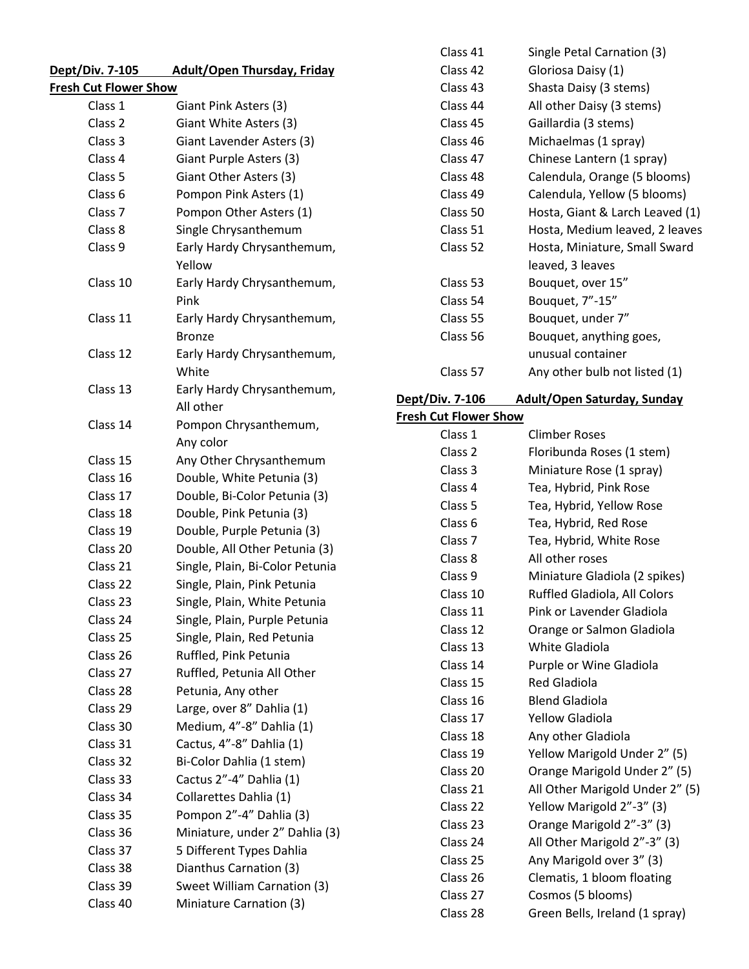| <u>Dept/Div. 7-105_</u>      | <b>Adult/Open Thursday, Friday</b>  |
|------------------------------|-------------------------------------|
| <b>Fresh Cut Flower Show</b> |                                     |
| Class 1                      | Giant Pink Asters (3)               |
| Class 2                      | Giant White Asters (3)              |
| Class 3                      | Giant Lavender Asters (3)           |
| Class 4                      | Giant Purple Asters (3)             |
| Class 5                      | Giant Other Asters (3)              |
| Class <sub>6</sub>           | Pompon Pink Asters (1)              |
| Class <sub>7</sub>           | Pompon Other Asters (1)             |
| Class 8                      | Single Chrysanthemum                |
| Class 9                      | Early Hardy Chrysanthemum,          |
|                              | Yellow                              |
| Class 10                     | Early Hardy Chrysanthemum,<br>Pink  |
| Class 11                     | Early Hardy Chrysanthemum,          |
|                              | <b>Bronze</b>                       |
| Class 12                     | Early Hardy Chrysanthemum,<br>White |
| Class 13                     | Early Hardy Chrysanthemum,          |
|                              | All other                           |
| Class 14                     | Pompon Chrysanthemum,               |
|                              | Any color                           |
| Class 15                     | Any Other Chrysanthemum             |
| Class 16                     | Double, White Petunia (3)           |
| Class 17                     | Double, Bi-Color Petunia (3)        |
| Class 18                     | Double, Pink Petunia (3)            |
| Class 19                     | Double, Purple Petunia (3)          |
| Class 20                     | Double, All Other Petunia (3)       |
| Class 21                     | Single, Plain, Bi-Color Petunia     |
| Class 22                     | Single, Plain, Pink Petunia         |
| Class 23                     | Single, Plain, White Petunia        |
| Class 24                     | Single, Plain, Purple Petunia       |
| Class 25                     | Single, Plain, Red Petunia          |
| Class 26                     | Ruffled, Pink Petunia               |
| Class 27                     | Ruffled, Petunia All Other          |
| Class 28                     | Petunia, Any other                  |
| Class 29                     | Large, over 8" Dahlia (1)           |
| Class 30                     | Medium, 4"-8" Dahlia (1)            |
| Class 31                     | Cactus, 4"-8" Dahlia (1)            |
| Class 32                     | Bi-Color Dahlia (1 stem)            |
| Class 33                     | Cactus 2"-4" Dahlia (1)             |
| Class 34                     | Collarettes Dahlia (1)              |
| Class 35                     | Pompon 2"-4" Dahlia (3)             |
| Class 36                     | Miniature, under 2" Dahlia (3)      |
| Class 37                     | 5 Different Types Dahlia            |
| Class 38                     | Dianthus Carnation (3)              |
| Class 39                     | Sweet William Carnation (3)         |
| Class 40                     | Miniature Carnation (3)             |

| Class 41 | Single Petal Carnation (3)      |
|----------|---------------------------------|
| Class 42 | Gloriosa Daisy (1)              |
| Class 43 | Shasta Daisy (3 stems)          |
| Class 44 | All other Daisy (3 stems)       |
| Class 45 | Gaillardia (3 stems)            |
| Class 46 | Michaelmas (1 spray)            |
| Class 47 | Chinese Lantern (1 spray)       |
| Class 48 | Calendula, Orange (5 blooms)    |
| Class 49 | Calendula, Yellow (5 blooms)    |
| Class 50 | Hosta, Giant & Larch Leaved (1) |
| Class 51 | Hosta, Medium leaved, 2 leaves  |
| Class 52 | Hosta, Miniature, Small Sward   |
|          | leaved, 3 leaves                |
| Class 53 | Bouquet, over 15"               |
| Class 54 | Bouquet, 7"-15"                 |
| Class 55 | Bouquet, under 7"               |
| Class 56 | Bouquet, anything goes,         |
|          | unusual container               |
| Class 57 | Any other bulb not listed (1)   |
|          |                                 |

**Dept/Div. 7-106 Adult/Open Saturday, Sunday** 

| <b>Fresh Cut Flower Show</b> |
|------------------------------|
|------------------------------|

| Class 1            | <b>Climber Roses</b>            |
|--------------------|---------------------------------|
| Class <sub>2</sub> | Floribunda Roses (1 stem)       |
| Class 3            | Miniature Rose (1 spray)        |
| Class 4            | Tea, Hybrid, Pink Rose          |
| Class 5            | Tea, Hybrid, Yellow Rose        |
| Class 6            | Tea, Hybrid, Red Rose           |
| Class <sub>7</sub> | Tea, Hybrid, White Rose         |
| Class 8            | All other roses                 |
| Class 9            | Miniature Gladiola (2 spikes)   |
| Class 10           | Ruffled Gladiola, All Colors    |
| Class 11           | Pink or Lavender Gladiola       |
| Class 12           | Orange or Salmon Gladiola       |
| Class 13           | White Gladiola                  |
| Class 14           | Purple or Wine Gladiola         |
| Class 15           | <b>Red Gladiola</b>             |
| Class 16           | <b>Blend Gladiola</b>           |
| Class 17           | <b>Yellow Gladiola</b>          |
| Class 18           | Any other Gladiola              |
| Class 19           | Yellow Marigold Under 2" (5)    |
| Class 20           | Orange Marigold Under 2" (5)    |
| Class 21           | All Other Marigold Under 2" (5) |
| Class 22           | Yellow Marigold 2"-3" (3)       |
| Class 23           | Orange Marigold 2"-3" (3)       |
| Class 24           | All Other Marigold 2"-3" (3)    |
| Class 25           | Any Marigold over 3" (3)        |
| Class 26           | Clematis, 1 bloom floating      |
| Class 27           | Cosmos (5 blooms)               |
| Class 28           | Green Bells, Ireland (1 spray)  |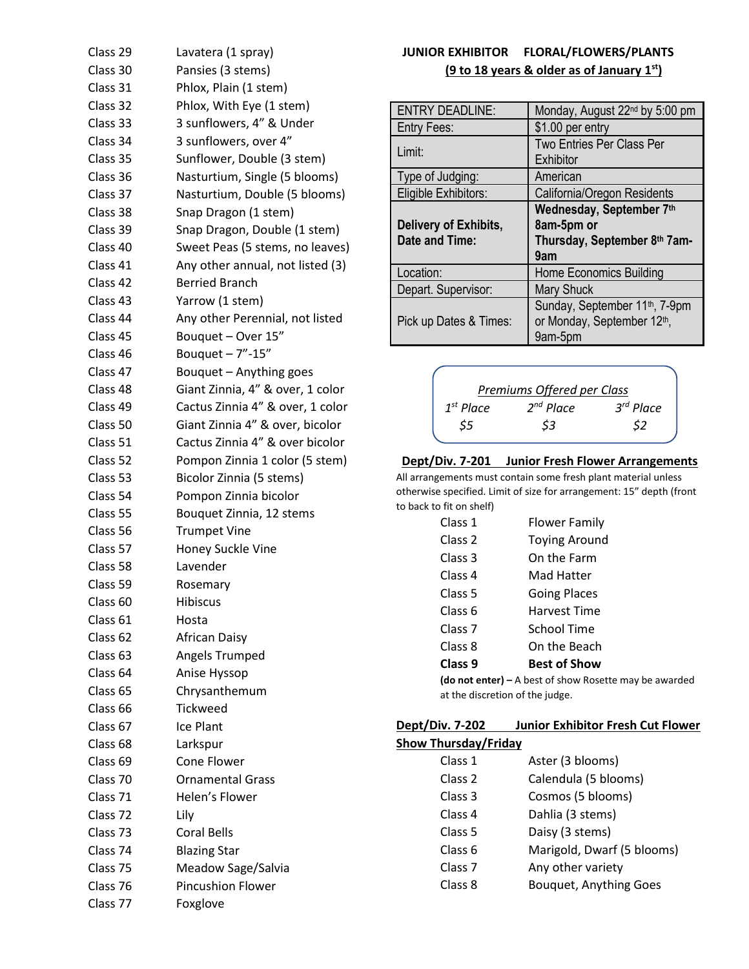| Class 29            | Lavatera (1 spray)               |
|---------------------|----------------------------------|
| Class 30            | Pansies (3 stems)                |
| Class 31            | Phlox, Plain (1 stem)            |
| Class 32            | Phlox, With Eye (1 stem)         |
| Class 33            | 3 sunflowers, 4" & Under         |
| Class 34            | 3 sunflowers, over 4"            |
| Class 35            | Sunflower, Double (3 stem)       |
| Class 36            | Nasturtium, Single (5 blooms)    |
| Class 37            | Nasturtium, Double (5 blooms)    |
| Class 38            | Snap Dragon (1 stem)             |
| Class 39            | Snap Dragon, Double (1 stem)     |
| Class 40            | Sweet Peas (5 stems, no leaves)  |
| Class 41            | Any other annual, not listed (3) |
| Class 42            | <b>Berried Branch</b>            |
| Class 43            | Yarrow (1 stem)                  |
| Class 44            | Any other Perennial, not listed  |
| Class 45            | Bouquet - Over 15"               |
| Class 46            | Bouquet $-7"$ -15"               |
| Class 47            | Bouquet - Anything goes          |
| Class 48            | Giant Zinnia, 4" & over, 1 color |
| Class 49            | Cactus Zinnia 4" & over, 1 color |
| Class 50            | Giant Zinnia 4" & over, bicolor  |
| Class 51            | Cactus Zinnia 4" & over bicolor  |
| Class 52            | Pompon Zinnia 1 color (5 stem)   |
| Class 53            | Bicolor Zinnia (5 stems)         |
| Class 54            | Pompon Zinnia bicolor            |
| Class 55            | Bouquet Zinnia, 12 stems         |
| Class 56            | <b>Trumpet Vine</b>              |
| Class 57            | Honey Suckle Vine                |
| Class 58            | Lavender                         |
| Class 59            | Rosemary                         |
| Class <sub>60</sub> | <b>Hibiscus</b>                  |
| Class <sub>61</sub> | Hosta                            |
| Class <sub>62</sub> | African Daisy                    |
| Class 63            | Angels Trumped                   |
| Class 64            | Anise Hyssop                     |
| Class <sub>65</sub> | Chrysanthemum                    |
| Class <sub>66</sub> | <b>Tickweed</b>                  |
| Class 67            | Ice Plant                        |
| Class <sub>68</sub> | Larkspur                         |
| Class <sub>69</sub> | Cone Flower                      |
| Class 70            | <b>Ornamental Grass</b>          |
| Class 71            | Helen's Flower                   |
| Class 72            | Lily                             |
| Class 73            | <b>Coral Bells</b>               |
| Class 74            | <b>Blazing Star</b>              |
| Class 75            | Meadow Sage/Salvia               |
| Class 76            | <b>Pincushion Flower</b>         |
| Class 77            | Foxglove                         |

# **JUNIOR EXHIBITOR FLORAL/FLOWERS/PLANTS (9 to 18 years & older as of January 1st)**

| <b>ENTRY DEADLINE:</b>                         | Monday, August 22 <sup>nd</sup> by 5:00 pm                                    |
|------------------------------------------------|-------------------------------------------------------------------------------|
| <b>Entry Fees:</b>                             | \$1.00 per entry                                                              |
| Limit:                                         | <b>Two Entries Per Class Per</b><br>Exhibitor                                 |
| Type of Judging:                               | American                                                                      |
| Eligible Exhibitors:                           | California/Oregon Residents                                                   |
| <b>Delivery of Exhibits,</b><br>Date and Time: | Wednesday, September 7th<br>8am-5pm or<br>Thursday, September 8th 7am-<br>9am |
| Location:                                      | <b>Home Economics Building</b>                                                |
| Depart. Supervisor:                            | <b>Mary Shuck</b>                                                             |
|                                                |                                                                               |



#### **Dept/Div. 7-201 Junior Fresh Flower Arrangements**

All arrangements must contain some fresh plant material unless otherwise specified. Limit of size for arrangement: 15" depth (front to back to fit on shelf)

| Class 1            | <b>Flower Family</b>                           |
|--------------------|------------------------------------------------|
| Class 2            | <b>Toying Around</b>                           |
| Class 3            | On the Farm                                    |
| Class 4            | Mad Hatter                                     |
| Class 5            | <b>Going Places</b>                            |
| Class 6            | <b>Harvest Time</b>                            |
| Class <sub>7</sub> | School Time                                    |
| Class 8            | On the Beach                                   |
| Class 9            | <b>Best of Show</b>                            |
|                    | <b>(do not enter)</b> – A best of show Rosette |

may be awarded at the discretion of the judge.

| <b>Dept/Div. 7-202</b>      | <b>Junior Exhibitor Fresh Cut Flower</b> |
|-----------------------------|------------------------------------------|
| <b>Show Thursday/Friday</b> |                                          |

| Class 1            | Aster (3 blooms)              |
|--------------------|-------------------------------|
| Class <sub>2</sub> | Calendula (5 blooms)          |
| Class 3            | Cosmos (5 blooms)             |
| Class 4            | Dahlia (3 stems)              |
| Class 5            | Daisy (3 stems)               |
| Class 6            | Marigold, Dwarf (5 blooms)    |
| Class <sub>7</sub> | Any other variety             |
| Class 8            | <b>Bouquet, Anything Goes</b> |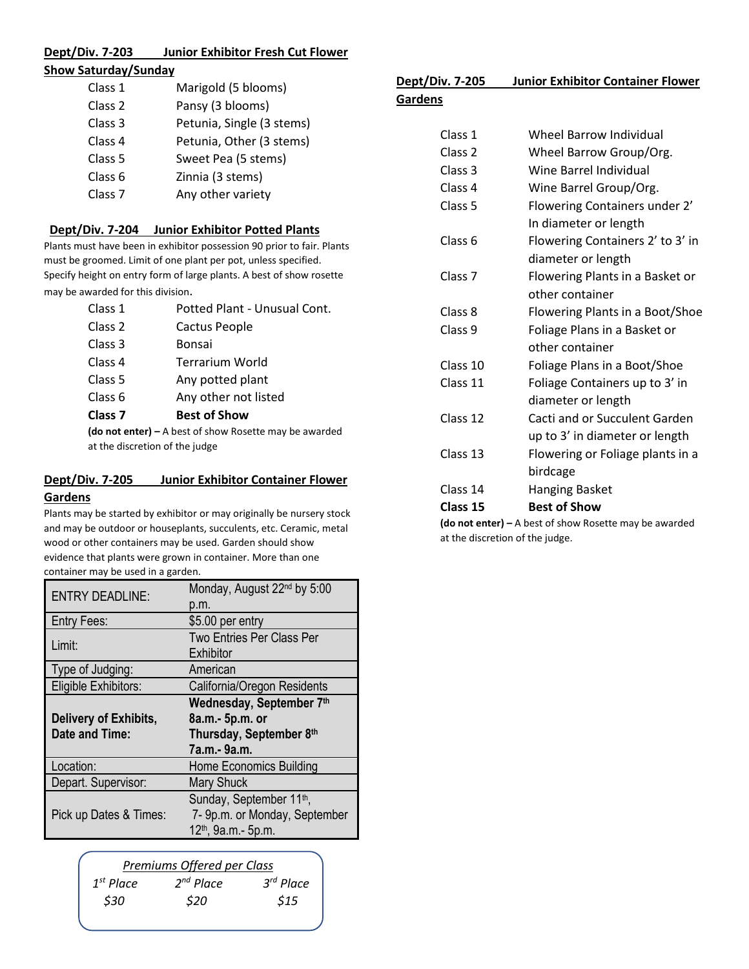# **Dept/Div. 7-203 Junior Exhibitor Fresh Cut Flower**

## **Show Saturday/Sunday**

| Class 1            | Marigold (5 blooms)       |
|--------------------|---------------------------|
| Class <sub>2</sub> | Pansy (3 blooms)          |
| Class <sub>3</sub> | Petunia, Single (3 stems) |
| Class 4            | Petunia, Other (3 stems)  |
| Class <sub>5</sub> | Sweet Pea (5 stems)       |
| Class <sub>6</sub> | Zinnia (3 stems)          |
| Class <sub>7</sub> | Any other variety         |
|                    |                           |

# **Dept/Div. 7-204 Junior Exhibitor Potted Plants**

Plants must have been in exhibitor possession 90 prior to fair. Plants must be groomed. Limit of one plant per pot, unless specified. Specify height on entry form of large plants. A best of show rosette may be awarded for this division.

| Class 1        | Potted Plant - Unusual Cont.                                             |
|----------------|--------------------------------------------------------------------------|
| Class 2        | Cactus People                                                            |
| Class 3        | Bonsai                                                                   |
| Class 4        | <b>Terrarium World</b>                                                   |
| Class 5        | Any potted plant                                                         |
| Class 6        | Any other not listed                                                     |
| <b>Class 7</b> | <b>Best of Show</b>                                                      |
|                | $(d\rho \text{ not enter}) = \Delta$ hast of show Rosette may be awarded |

**(do not enter) –** A best of show Rosette may be awarded at the discretion of the judge

# **Dept/Div. 7-205 Junior Exhibitor Container Flower**

#### **Gardens**

Plants may be started by exhibitor or may originally be nursery stock and may be outdoor or houseplants, succulents, etc. Ceramic, metal wood or other containers may be used. Garden should show evidence that plants were grown in container. More than one container may be used in a garden.

| <b>ENTRY DEADLINE:</b> | Monday, August 22 <sup>nd</sup> by 5:00 |
|------------------------|-----------------------------------------|
|                        | p.m.                                    |
| <b>Entry Fees:</b>     | \$5.00 per entry                        |
| Limit:                 | Two Entries Per Class Per               |
|                        | Exhibitor                               |
| Type of Judging:       | American                                |
| Eligible Exhibitors:   | California/Oregon Residents             |
|                        | Wednesday, September 7th                |
| Delivery of Exhibits,  | 8a.m.- 5p.m. or                         |
| Date and Time:         | Thursday, September 8th                 |
|                        | 7a.m.- 9a.m.                            |
|                        |                                         |
| Location:              | Home Economics Building                 |
| Depart. Supervisor:    | <b>Mary Shuck</b>                       |
|                        | Sunday, September 11 <sup>th</sup> ,    |
| Pick up Dates & Times: | 7- 9p.m. or Monday, September           |

| $3^{rd}$ Place |
|----------------|
| \$15           |
|                |

| Dept/Div. 7-205    | <b>Junior Exhibitor Container Flower</b> |
|--------------------|------------------------------------------|
| Gardens            |                                          |
| Class 1            | <b>Wheel Barrow Individual</b>           |
| Class <sub>2</sub> | Wheel Barrow Group/Org.                  |
| Class 3            | Wine Barrel Individual                   |
| Class 4            | Wine Barrel Group/Org.                   |
| Class 5            | Flowering Containers under 2'            |
|                    | In diameter or length                    |
| Class 6            | Flowering Containers 2' to 3' in         |
|                    | diameter or length                       |
| Class <sub>7</sub> | Flowering Plants in a Basket or          |
|                    | other container                          |
| Class 8            | Flowering Plants in a Boot/Shoe          |
| Class 9            | Foliage Plans in a Basket or             |
|                    | other container                          |
| Class 10           | Foliage Plans in a Boot/Shoe             |
| Class 11           | Foliage Containers up to 3' in           |
|                    | diameter or length                       |
| Class 12           | Cacti and or Succulent Garden            |
|                    | up to 3' in diameter or length           |
| Class 13           | Flowering or Foliage plants in a         |
|                    | birdcage                                 |
| Class 14           | <b>Hanging Basket</b>                    |
| Class 15           | <b>Best of Show</b>                      |

**(do not enter) –** A best of show Rosette may be awarded at the discretion of the judge.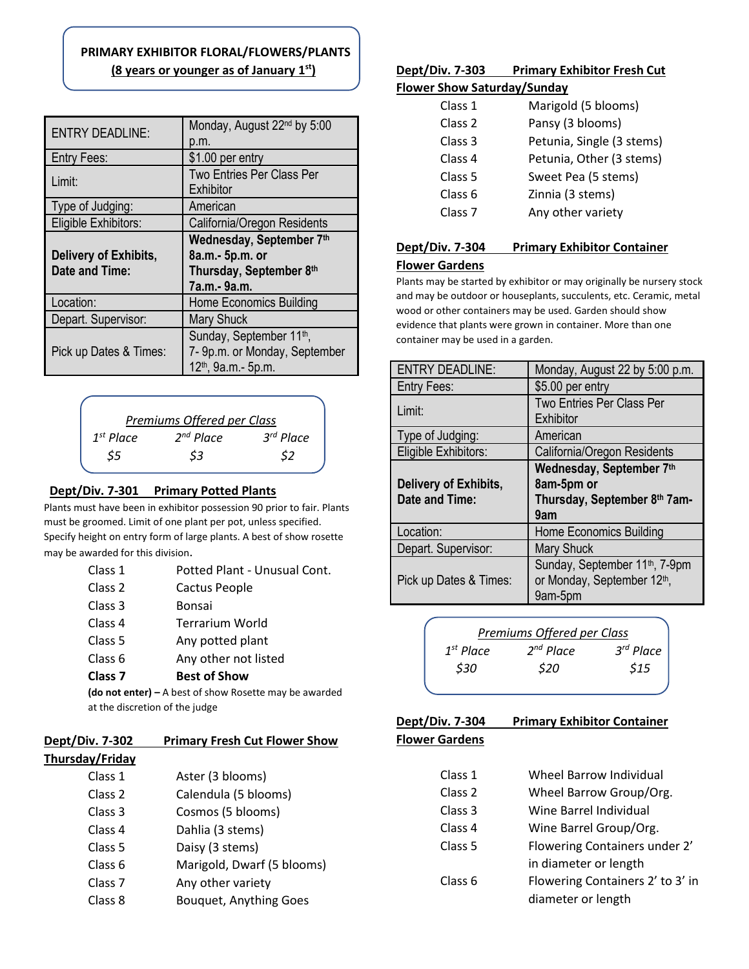# **PRIMARY EXHIBITOR FLORAL/FLOWERS/PLANTS (8 years or younger as of January 1st)**

| <b>ENTRY DEADLINE:</b>                         | Monday, August 22 <sup>nd</sup> by 5:00<br>p.m.            |
|------------------------------------------------|------------------------------------------------------------|
| <b>Entry Fees:</b>                             | \$1.00 per entry                                           |
| Limit:                                         | <b>Two Entries Per Class Per</b><br>Exhibitor              |
| Type of Judging:                               | American                                                   |
| Eligible Exhibitors:                           | California/Oregon Residents                                |
|                                                | Wednesday, September 7th                                   |
| <b>Delivery of Exhibits,</b><br>Date and Time: | 8a.m.- 5p.m. or<br>Thursday, September 8th<br>7a.m.- 9a.m. |
| Location:                                      | <b>Home Economics Building</b>                             |
| Depart. Supervisor:                            | <b>Mary Shuck</b>                                          |

#### *Premiums Offered per Class 1 st Place 2 nd Place 3 rd Place \$5 \$3 \$2*

## **Dept/Div. 7-301 Primary Potted Plants**

Plants must have been in exhibitor possession 90 prior to fair. Plants must be groomed. Limit of one plant per pot, unless specified. Specify height on entry form of large plants. A best of show rosette may be awarded for this division.

| Class 1                                                  | Potted Plant - Unusual Cont. |
|----------------------------------------------------------|------------------------------|
| Class 2                                                  | Cactus People                |
| Class 3                                                  | Bonsai                       |
| Class 4                                                  | <b>Terrarium World</b>       |
| Class 5                                                  | Any potted plant             |
| Class 6                                                  | Any other not listed         |
| Class <sub>7</sub>                                       | <b>Best of Show</b>          |
| (do not enter) $-$ A best of show Rosette may be awarded |                              |
| at the discretion of the judge                           |                              |

#### **Dept/Div. 7-302 Primary Fresh Cut Flower Show Thursday/Friday**

| lay/Friday         |                               |
|--------------------|-------------------------------|
| Class 1            | Aster (3 blooms)              |
| Class 2            | Calendula (5 blooms)          |
| Class 3            | Cosmos (5 blooms)             |
| Class <sub>4</sub> | Dahlia (3 stems)              |
| Class 5            | Daisy (3 stems)               |
| Class 6            | Marigold, Dwarf (5 blooms)    |
| Class <sub>7</sub> | Any other variety             |
| Class 8            | <b>Bouquet, Anything Goes</b> |

# **Dept/Div. 7-303 Primary Exhibitor Fresh Cut**

#### **Flower Show Saturday/Sunday**

| Class 1            | Marigold (5 blooms)       |
|--------------------|---------------------------|
| Class <sub>2</sub> | Pansy (3 blooms)          |
| Class 3            | Petunia, Single (3 stems) |
| Class <sub>4</sub> | Petunia, Other (3 stems)  |
| Class 5            | Sweet Pea (5 stems)       |
| Class 6            | Zinnia (3 stems)          |
| Class <sub>7</sub> | Any other variety         |
|                    |                           |

#### **Dept/Div. 7-304 Primary Exhibitor Container**

#### **Flower Gardens**

Plants may be started by exhibitor or may originally be nursery stock and may be outdoor or houseplants, succulents, etc. Ceramic, metal wood or other containers may be used. Garden should show evidence that plants were grown in container. More than one container may be used in a garden.

| 12 <sup>th</sup> , 9a.m.- 5p.m.                                                              | <b>ENTRY DEADLINE:</b>                  | Monday, August 22 by 5:00 p.m.                                                                   |
|----------------------------------------------------------------------------------------------|-----------------------------------------|--------------------------------------------------------------------------------------------------|
|                                                                                              | Entry Fees:                             | \$5.00 per entry                                                                                 |
| <b>Offered per Class</b>                                                                     | Limit:                                  | Two Entries Per Class Per<br>Exhibitor                                                           |
| 3 <sup>rd</sup> Place<br><sup>'</sup> Place                                                  | Type of Judging:                        | American                                                                                         |
| \$3<br>\$2                                                                                   | Eligible Exhibitors:                    | California/Oregon Residents                                                                      |
| y Potted Plants<br>or possession 90 prior to fair. Plants<br>lant per pot, unless specified. | Delivery of Exhibits,<br>Date and Time: | Wednesday, September 7th<br>8am-5pm or<br>Thursday, September 8th 7am-<br>9am                    |
| arge plants. A best of show rosette                                                          | Location:                               | <b>Home Economics Building</b>                                                                   |
|                                                                                              | Depart. Supervisor:                     | <b>Mary Shuck</b>                                                                                |
| tted Plant - Unusual Cont.<br>ctus People<br>ncai                                            | Pick up Dates & Times:                  | Sunday, September 11 <sup>th</sup> , 7-9pm<br>or Monday, September 12 <sup>th</sup> ,<br>9am-5pm |

|                | Premiums Offered per Class |                |
|----------------|----------------------------|----------------|
| $1^{st}$ Place | $2^{nd}$ Place             | $3^{rd}$ Place |
| \$30           | \$20                       | \$15           |
|                |                            |                |

**Dept/Div. 7-304 Primary Exhibitor Container** 

|  |  | <b>Flower Gardens</b> |  |
|--|--|-----------------------|--|
|--|--|-----------------------|--|

| Wheel Barrow Individual<br>Class 1 |
|------------------------------------|
|------------------------------------|

- Class 2 Wheel Barrow Group/Org.
- Class 3 Wine Barrel Individual
- Class 4 Wine Barrel Group/Org.
- Class 5 Flowering Containers under 2'
	- in diameter or length
- Class 6 Flowering Containers 2' to 3' in diameter or length